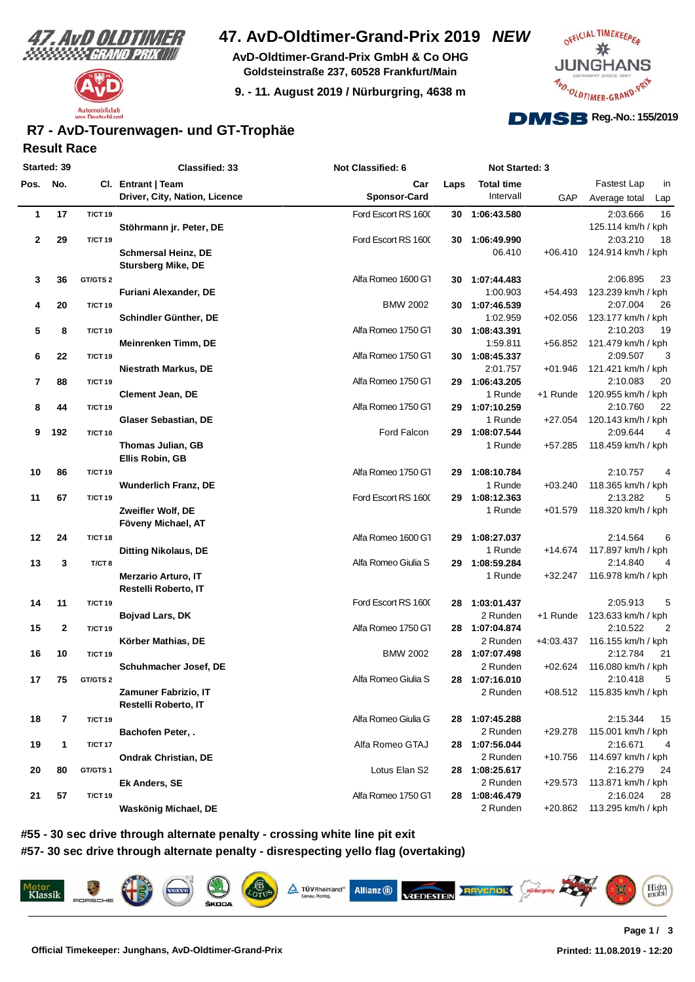



# **47. AvD-Oldtimer-Grand-Prix 2019** *NEW*

**AvD-Oldtimer-Grand-Prix GmbH & Co OHG Goldsteinstraße 237, 60528 Frankfurt/Main**

**9. - 11. August 2019 / Nürburgring, 4638 m**



### **Result Race R7 - AvD-Tourenwagen- und GT-Trophäe**

| Started: 39 |              |                   | Classified: 33                | <b>Not Classified: 6</b> |      | <b>Not Started: 3</b> |           |                            |
|-------------|--------------|-------------------|-------------------------------|--------------------------|------|-----------------------|-----------|----------------------------|
| Pos. No.    |              |                   | Cl. Entrant   Team            | Car                      | Laps | <b>Total time</b>     |           | Fastest Lap<br>in          |
|             |              |                   | Driver, City, Nation, Licence | <b>Sponsor-Card</b>      |      | Intervall             | GAP       | Average total<br>Lap       |
| 1           | 17           | <b>T/CT 19</b>    |                               | Ford Escort RS 1600      | 30   | 1:06:43.580           |           | 16<br>2:03.666             |
|             |              |                   | Stöhrmann jr. Peter, DE       |                          |      |                       |           | 125.114 km/h / kph         |
| $\mathbf 2$ | 29           | <b>T/CT 19</b>    |                               | Ford Escort RS 1600      |      | 30 1:06:49.990        |           | 2:03.210<br>18             |
|             |              |                   | <b>Schmersal Heinz, DE</b>    |                          |      | 06.410                | $+06.410$ | 124.914 km/h / kph         |
|             |              |                   | <b>Stursberg Mike, DE</b>     |                          |      |                       |           |                            |
| 3           | 36           | GT/GTS 2          |                               | Alfa Romeo 1600 G1       |      | 30 1:07:44.483        |           | 2:06.895<br>23             |
|             |              |                   | Furiani Alexander, DE         |                          |      | 1:00.903              | $+54.493$ | 123.239 km/h / kph         |
| 4           | 20           | <b>T/CT 19</b>    |                               | <b>BMW 2002</b>          |      | 30 1:07:46.539        |           | 2:07.004<br>26             |
|             |              |                   | Schindler Günther, DE         |                          |      | 1:02.959              | $+02.056$ | 123.177 km/h / kph         |
| 5           | 8            | <b>T/CT 19</b>    |                               | Alfa Romeo 1750 G1       |      | 30 1:08:43.391        |           | 19<br>2:10.203             |
|             |              |                   | Meinrenken Timm, DE           |                          |      | 1:59.811              | +56.852   | 121.479 km/h / kph         |
| 6           | 22           | <b>T/CT 19</b>    |                               | Alfa Romeo 1750 G1       |      | 30 1:08:45.337        |           | 2:09.507<br>3              |
|             |              |                   | Niestrath Markus, DE          |                          |      | 2:01.757              | +01.946   | 121.421 km/h / kph         |
| 7           | 88           | <b>T/CT 19</b>    |                               | Alfa Romeo 1750 G1       | 29 - | 1:06:43.205           |           | 2:10.083<br>20             |
|             |              |                   | <b>Clement Jean, DE</b>       |                          |      | 1 Runde               | +1 Runde  | 120.955 km/h / kph         |
| 8           | 44           | <b>T/CT 19</b>    |                               | Alfa Romeo 1750 G1       |      | 29 1:07:10.259        |           | 2:10.760<br>22             |
|             |              |                   | <b>Glaser Sebastian, DE</b>   |                          |      | 1 Runde               | +27.054   | 120.143 km/h / kph         |
| 9           | 192          | <b>T/CT 10</b>    |                               | Ford Falcon              | 29   | 1:08:07.544           |           | 2:09.644<br>4              |
|             |              |                   | Thomas Julian, GB             |                          |      | 1 Runde               | $+57.285$ | 118.459 km/h / kph         |
|             |              |                   | Ellis Robin, GB               |                          |      |                       |           |                            |
| 10          | 86           | <b>T/CT 19</b>    |                               | Alfa Romeo 1750 G1       | 29   | 1:08:10.784           |           | 2:10.757<br>4              |
|             |              |                   | <b>Wunderlich Franz, DE</b>   |                          |      | 1 Runde               | $+03.240$ | 118.365 km/h / kph         |
| 11          | 67           | <b>T/CT 19</b>    |                               | Ford Escort RS 1600      |      | 29 1:08:12.363        |           | 5<br>2:13.282              |
|             |              |                   | Zweifler Wolf, DE             |                          |      | 1 Runde               | $+01.579$ | 118.320 km/h / kph         |
|             |              |                   | Föveny Michael, AT            |                          |      |                       |           |                            |
| 12          | 24           | <b>T/CT 18</b>    |                               | Alfa Romeo 1600 G1       | 29   | 1:08:27.037           |           | 6<br>2:14.564              |
|             |              |                   |                               |                          |      | 1 Runde               |           | 117.897 km/h / kph         |
|             |              |                   | <b>Ditting Nikolaus, DE</b>   | Alfa Romeo Giulia S      |      |                       | +14.674   | 2:14.840<br>4              |
| 13          | 3            | T/CT <sub>8</sub> |                               |                          |      | 29 1:08:59.284        |           |                            |
|             |              |                   | <b>Merzario Arturo, IT</b>    |                          |      | 1 Runde               | +32.247   | 116.978 km/h / kph         |
|             |              |                   | Restelli Roberto, IT          |                          |      |                       |           |                            |
| 14          | 11           | <b>T/CT 19</b>    |                               | Ford Escort RS 1600      |      | 28 1:03:01.437        |           | 5<br>2:05.913              |
|             |              |                   | <b>Bojvad Lars, DK</b>        |                          |      | 2 Runden              | +1 Runde  | 123.633 km/h / kph         |
| 15          | $\mathbf{2}$ | <b>T/CT 19</b>    |                               | Alfa Romeo 1750 G1       |      | 28 1:07:04.874        |           | 2:10.522<br>$\overline{2}$ |
|             |              |                   | Körber Mathias, DE            |                          |      | 2 Runden              | +4:03.437 | 116.155 km/h / kph         |
| 16          | 10           | <b>T/CT 19</b>    |                               | <b>BMW 2002</b>          |      | 28 1:07:07.498        |           | 2:12.784<br>21             |
|             |              |                   | Schuhmacher Josef, DE         |                          |      | 2 Runden              | $+02.624$ | 116.080 km/h / kph         |
| 17          | 75           | GT/GTS 2          |                               | Alfa Romeo Giulia S      |      | 28 1:07:16.010        |           | 5<br>2:10.418              |
|             |              |                   | Zamuner Fabrizio, IT          |                          |      | 2 Runden              |           | +08.512 115.835 km/h / kph |
|             |              |                   | Restelli Roberto, IT          |                          |      |                       |           |                            |
| 18          | 7            | <b>T/CT 19</b>    |                               | Alfa Romeo Giulia G      |      | 28 1:07:45.288        |           | 2:15.344<br>15             |
|             |              |                   | Bachofen Peter, .             |                          |      | 2 Runden              | $+29.278$ | 115.001 km/h / kph         |
| 19          | 1            | <b>T/CT 17</b>    |                               | Alfa Romeo GTAJ          |      | 28 1:07:56.044        |           | 2:16.671<br>4              |
|             |              |                   | <b>Ondrak Christian, DE</b>   |                          |      | 2 Runden              | +10.756   | 114.697 km/h / kph         |
| 20          | 80           | GT/GTS1           |                               | Lotus Elan S2            |      | 28 1:08:25.617        |           | 2:16.279<br>24             |
|             |              |                   | Ek Anders, SE                 |                          |      | 2 Runden              | $+29.573$ | 113.871 km/h / kph         |
| 21          | 57           | <b>T/CT 19</b>    |                               | Alfa Romeo 1750 G1       |      | 28 1:08:46.479        |           | 2:16.024<br>28             |
|             |              |                   | Waskönig Michael, DE          |                          |      | 2 Runden              | +20.862   | 113.295 km/h / kph         |
|             |              |                   |                               |                          |      |                       |           |                            |

**#55 - 30 sec drive through alternate penalty - crossing white line pit exit #57- 30 sec drive through alternate penalty - disrespecting yello flag (overtaking)**

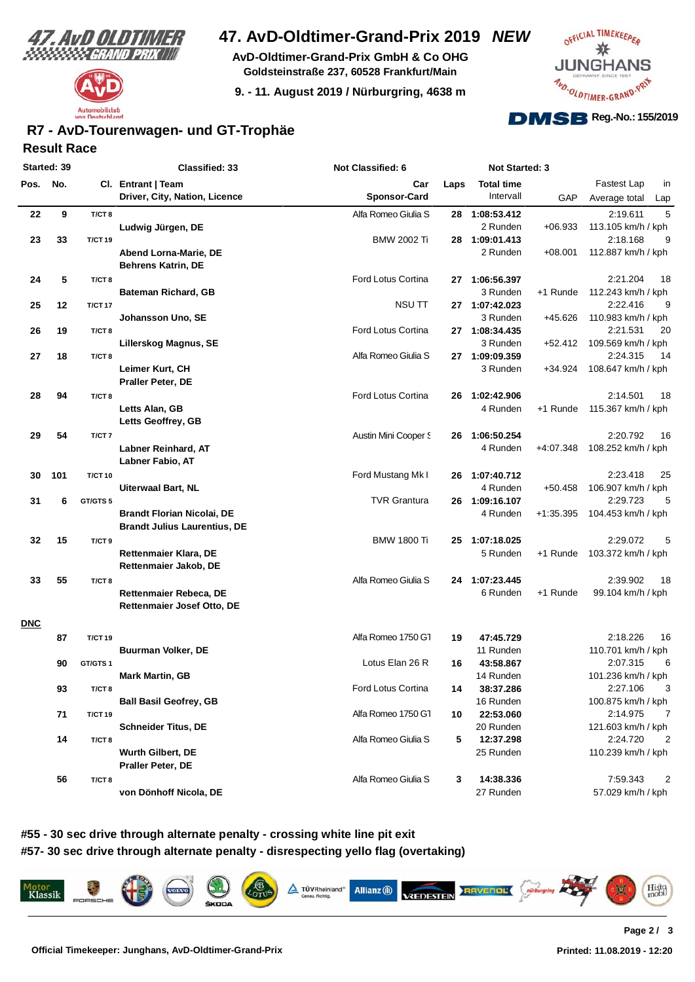

# Automobilclub utschland  $on \,n$

# **47. AvD-Oldtimer-Grand-Prix 2019** *NEW*

**AvD-Oldtimer-Grand-Prix GmbH & Co OHG Goldsteinstraße 237, 60528 Frankfurt/Main**

**9. - 11. August 2019 / Nürburgring, 4638 m**



## **Result Race R7 - AvD-Tourenwagen- und GT-Trophäe**

|            | Started: 39 |                   | <b>Classified: 33</b>               | <b>Not Classified: 6</b> |      | Not Started: 3    |             |                            |     |
|------------|-------------|-------------------|-------------------------------------|--------------------------|------|-------------------|-------------|----------------------------|-----|
| Pos. No.   |             |                   | Cl. Entrant   Team                  | Car                      | Laps | <b>Total time</b> |             | Fastest Lap                | in  |
|            |             |                   | Driver, City, Nation, Licence       | <b>Sponsor-Card</b>      |      | Intervall         | GAP         | Average total              | Lap |
| 22         | 9           | T/CT <sub>8</sub> |                                     | Alfa Romeo Giulia S      | 28   | 1:08:53.412       |             | 2:19.611                   | 5   |
|            |             |                   | Ludwig Jürgen, DE                   |                          |      | 2 Runden          | $+06.933$   | 113.105 km/h / kph         |     |
| 23         | 33          | <b>T/CT 19</b>    |                                     | <b>BMW 2002 Ti</b>       |      | 28 1:09:01.413    |             | 2:18.168                   | 9   |
|            |             |                   | Abend Lorna-Marie, DE               |                          |      | 2 Runden          | $+08.001$   | 112.887 km/h / kph         |     |
|            |             |                   | <b>Behrens Katrin, DE</b>           |                          |      |                   |             |                            |     |
| 24         | 5           | T/CT <sub>8</sub> |                                     | Ford Lotus Cortina       |      | 27 1:06:56.397    |             | 2:21.204                   | 18  |
|            |             |                   | <b>Bateman Richard, GB</b>          |                          |      | 3 Runden          | +1 Runde    | 112.243 km/h / kph         |     |
| 25         | 12          | <b>T/CT 17</b>    |                                     | NSU TT                   |      | 27 1:07:42.023    |             | 2:22.416                   | 9   |
|            |             |                   | Johansson Uno, SE                   |                          |      | 3 Runden          | +45.626     | 110.983 km/h / kph         |     |
| 26         | 19          | T/CT <sub>8</sub> |                                     | Ford Lotus Cortina       |      | 27 1:08:34.435    |             | 2:21.531                   | 20  |
|            |             |                   | Lillerskog Magnus, SE               |                          |      | 3 Runden          |             | +52.412 109.569 km/h / kph |     |
| 27         | 18          | T/CT <sub>8</sub> |                                     | Alfa Romeo Giulia S      |      | 27 1:09:09.359    |             | 2:24.315                   | 14  |
|            |             |                   | Leimer Kurt, CH                     |                          |      | 3 Runden          | +34.924     | 108.647 km/h / kph         |     |
|            |             |                   | Praller Peter, DE                   |                          |      |                   |             |                            |     |
| 28         | 94          | T/CT <sub>8</sub> |                                     | Ford Lotus Cortina       |      | 26 1:02:42.906    |             | 2:14.501                   | 18  |
|            |             |                   | Letts Alan, GB                      |                          |      | 4 Runden          | +1 Runde    | 115.367 km/h / kph         |     |
|            |             |                   | Letts Geoffrey, GB                  |                          |      |                   |             |                            |     |
| 29         | 54          | T/CT7             |                                     | Austin Mini Cooper S     | 26   | 1:06:50.254       |             | 2:20.792                   | 16  |
|            |             |                   | Labner Reinhard, AT                 |                          |      | 4 Runden          | +4:07.348   | 108.252 km/h / kph         |     |
|            |             |                   | Labner Fabio, AT                    |                          |      |                   |             |                            |     |
| 30         | 101         | <b>T/CT 10</b>    |                                     | Ford Mustang Mk I        |      | 26 1:07:40.712    |             | 2:23.418                   | 25  |
|            |             |                   | <b>Uiterwaal Bart, NL</b>           |                          |      | 4 Runden          | $+50.458$   | 106.907 km/h / kph         |     |
| 31         | 6           | GT/GTS 5          |                                     | <b>TVR Grantura</b>      |      | 26 1:09:16.107    |             | 2:29.723                   | 5   |
|            |             |                   | <b>Brandt Florian Nicolai, DE</b>   |                          |      | 4 Runden          | $+1:35.395$ | 104.453 km/h / kph         |     |
|            |             |                   | <b>Brandt Julius Laurentius, DE</b> |                          |      |                   |             |                            |     |
| 32         | 15          | T/CT <sub>9</sub> |                                     | <b>BMW 1800 Ti</b>       | 25   | 1:07:18.025       |             | 2:29.072                   | 5   |
|            |             |                   | <b>Rettenmaier Klara, DE</b>        |                          |      | 5 Runden          | +1 Runde    | 103.372 km/h / kph         |     |
|            |             |                   | Rettenmaier Jakob, DE               |                          |      |                   |             |                            |     |
|            |             |                   |                                     |                          |      |                   |             |                            |     |
| 33         | 55          | T/CT8             |                                     | Alfa Romeo Giulia S      |      | 24 1:07:23.445    |             | 2:39.902                   | 18  |
|            |             |                   | Rettenmaier Rebeca, DE              |                          |      | 6 Runden          | +1 Runde    | 99.104 km/h / kph          |     |
|            |             |                   | Rettenmaier Josef Otto, DE          |                          |      |                   |             |                            |     |
| <b>DNC</b> |             |                   |                                     |                          |      |                   |             |                            |     |
|            | 87          | <b>T/CT 19</b>    |                                     | Alfa Romeo 1750 G1       | 19   | 47:45.729         |             | 2:18.226                   | 16  |
|            |             |                   | Buurman Volker, DE                  |                          |      | 11 Runden         |             | 110.701 km/h / kph         |     |
|            | 90          | GT/GTS1           |                                     | Lotus Elan 26 R          | 16   | 43:58.867         |             | 2:07.315                   | 6   |
|            |             |                   | <b>Mark Martin, GB</b>              |                          |      | 14 Runden         |             | 101.236 km/h / kph         |     |
|            | 93          | T/CT8             |                                     | Ford Lotus Cortina       | 14   | 38:37.286         |             | 2:27.106                   | 3   |
|            |             |                   | <b>Ball Basil Geofrey, GB</b>       |                          |      | 16 Runden         |             | 100.875 km/h / kph         |     |
|            | 71          | <b>T/CT 19</b>    |                                     | Alfa Romeo 1750 G1       | 10   | 22:53.060         |             | 2:14.975                   | 7   |
|            |             |                   | <b>Schneider Titus, DE</b>          |                          |      | 20 Runden         |             | 121.603 km/h / kph         |     |
|            | 14          | T/CT <sub>8</sub> |                                     | Alfa Romeo Giulia S      | 5    | 12:37.298         |             | 2:24.720                   | 2   |
|            |             |                   | <b>Wurth Gilbert, DE</b>            |                          |      | 25 Runden         |             | 110.239 km/h / kph         |     |
|            |             |                   | Praller Peter, DE                   |                          |      |                   |             |                            |     |
|            | 56          | T/CT8             |                                     | Alfa Romeo Giulia S      | 3    | 14:38.336         |             | 7:59.343                   | 2   |
|            |             |                   | von Dönhoff Nicola, DE              |                          |      | 27 Runden         |             | 57.029 km/h / kph          |     |
|            |             |                   |                                     |                          |      |                   |             |                            |     |

**#55 - 30 sec drive through alternate penalty - crossing white line pit exit #57- 30 sec drive through alternate penalty - disrespecting yello flag (overtaking)**